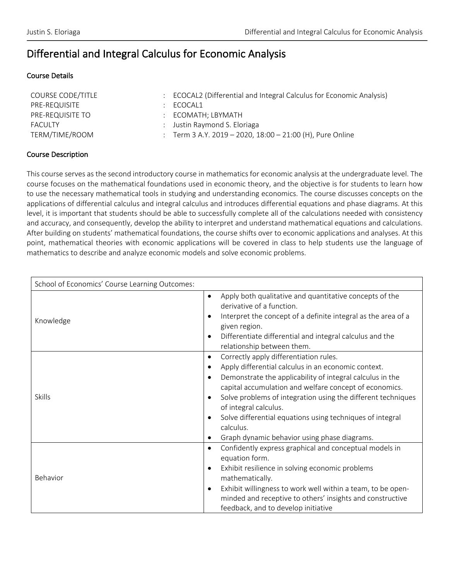# Differential and Integral Calculus for Economic Analysis

#### Course Details

| : ECOCAL2 (Differential and Integral Calculus for Economic Analysis) |
|----------------------------------------------------------------------|
| ECOCAL1                                                              |
| $\therefore$ ECOMATH: LBYMATH                                        |
| Justin Raymond S. Eloriaga                                           |
| : Term 3 A.Y. 2019 - 2020, 18:00 - 21:00 (H), Pure Online            |
|                                                                      |

### Course Description

This course serves as the second introductory course in mathematics for economic analysis at the undergraduate level. The course focuses on the mathematical foundations used in economic theory, and the objective is for students to learn how to use the necessary mathematical tools in studying and understanding economics. The course discusses concepts on the applications of differential calculus and integral calculus and introduces differential equations and phase diagrams. At this level, it is important that students should be able to successfully complete all of the calculations needed with consistency and accuracy, and consequently, develop the ability to interpret and understand mathematical equations and calculations. After building on students' mathematical foundations, the course shifts over to economic applications and analyses. At this point, mathematical theories with economic applications will be covered in class to help students use the language of mathematics to describe and analyze economic models and solve economic problems.

| School of Economics' Course Learning Outcomes: |                                                                                                                                                                                                                                                                                                                                                                                                                                                      |
|------------------------------------------------|------------------------------------------------------------------------------------------------------------------------------------------------------------------------------------------------------------------------------------------------------------------------------------------------------------------------------------------------------------------------------------------------------------------------------------------------------|
| Knowledge                                      | Apply both qualitative and quantitative concepts of the<br>derivative of a function.<br>Interpret the concept of a definite integral as the area of a<br>given region.<br>Differentiate differential and integral calculus and the<br>relationship between them.                                                                                                                                                                                     |
| <b>Skills</b>                                  | Correctly apply differentiation rules.<br>$\bullet$<br>Apply differential calculus in an economic context.<br>Demonstrate the applicability of integral calculus in the<br>capital accumulation and welfare concept of economics.<br>Solve problems of integration using the different techniques<br>of integral calculus.<br>Solve differential equations using techniques of integral<br>calculus.<br>Graph dynamic behavior using phase diagrams. |
| Behavior                                       | Confidently express graphical and conceptual models in<br>$\bullet$<br>equation form.<br>Exhibit resilience in solving economic problems<br>$\bullet$<br>mathematically.<br>Exhibit willingness to work well within a team, to be open-<br>$\bullet$<br>minded and receptive to others' insights and constructive<br>feedback, and to develop initiative                                                                                             |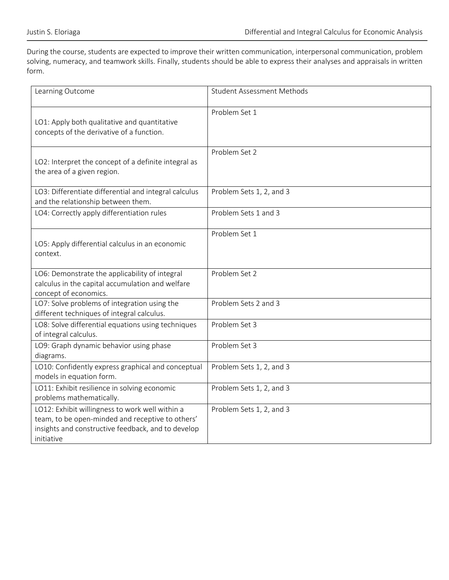During the course, students are expected to improve their written communication, interpersonal communication, problem solving, numeracy, and teamwork skills. Finally, students should be able to express their analyses and appraisals in written form.

| Learning Outcome                                                                                                                                                        | <b>Student Assessment Methods</b> |
|-------------------------------------------------------------------------------------------------------------------------------------------------------------------------|-----------------------------------|
| LO1: Apply both qualitative and quantitative<br>concepts of the derivative of a function.                                                                               | Problem Set 1                     |
| LO2: Interpret the concept of a definite integral as<br>the area of a given region.                                                                                     | Problem Set 2                     |
| LO3: Differentiate differential and integral calculus<br>and the relationship between them.                                                                             | Problem Sets 1, 2, and 3          |
| LO4: Correctly apply differentiation rules                                                                                                                              | Problem Sets 1 and 3              |
| LO5: Apply differential calculus in an economic<br>context.                                                                                                             | Problem Set 1                     |
| LO6: Demonstrate the applicability of integral<br>calculus in the capital accumulation and welfare<br>concept of economics.                                             | Problem Set 2                     |
| LO7: Solve problems of integration using the<br>different techniques of integral calculus.                                                                              | Problem Sets 2 and 3              |
| LO8: Solve differential equations using techniques<br>of integral calculus.                                                                                             | Problem Set 3                     |
| LO9: Graph dynamic behavior using phase<br>diagrams.                                                                                                                    | Problem Set 3                     |
| LO10: Confidently express graphical and conceptual<br>models in equation form.                                                                                          | Problem Sets 1, 2, and 3          |
| LO11: Exhibit resilience in solving economic<br>problems mathematically.                                                                                                | Problem Sets 1, 2, and 3          |
| LO12: Exhibit willingness to work well within a<br>team, to be open-minded and receptive to others'<br>insights and constructive feedback, and to develop<br>initiative | Problem Sets 1, 2, and 3          |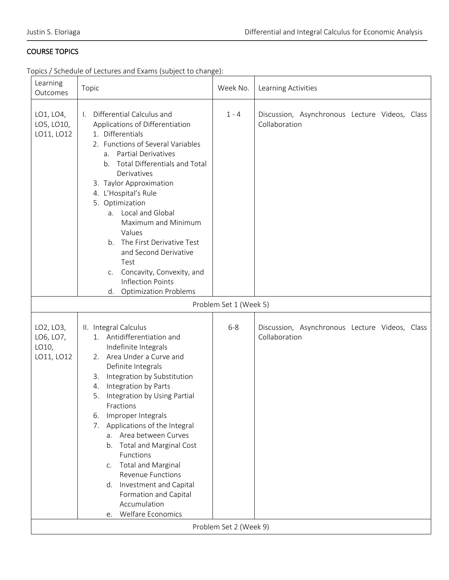# COURSE TOPICS

Topics / Schedule of Lectures and Exams (subject to change):

| Learning<br>Outcomes                          | Topic                                                                                                                                                                                                                                                                                                                                                                                                                                                                                                                                                                            | Week No.                          | Learning Activities                                             |
|-----------------------------------------------|----------------------------------------------------------------------------------------------------------------------------------------------------------------------------------------------------------------------------------------------------------------------------------------------------------------------------------------------------------------------------------------------------------------------------------------------------------------------------------------------------------------------------------------------------------------------------------|-----------------------------------|-----------------------------------------------------------------|
| LO1, LO4,<br>LO5, LO10,<br>LO11, LO12         | Differential Calculus and<br>$\mathbf{L}$<br>Applications of Differentiation<br>1. Differentials<br>2. Functions of Several Variables<br><b>Partial Derivatives</b><br>a.<br><b>Total Differentials and Total</b><br>b.<br>Derivatives<br>3. Taylor Approximation<br>4. L'Hospital's Rule<br>5. Optimization<br>a. Local and Global<br>Maximum and Minimum<br>Values<br>The First Derivative Test<br>b.<br>and Second Derivative<br>Test<br>c. Concavity, Convexity, and<br><b>Inflection Points</b><br><b>Optimization Problems</b><br>d.                                       | $1 - 4$                           | Discussion, Asynchronous Lecture Videos, Class<br>Collaboration |
|                                               |                                                                                                                                                                                                                                                                                                                                                                                                                                                                                                                                                                                  | Problem Set 1 (Week 5)            |                                                                 |
| LO2, LO3,<br>LO6, LO7,<br>LO10,<br>LO11, LO12 | II. Integral Calculus<br>1. Antidifferentiation and<br>Indefinite Integrals<br>2. Area Under a Curve and<br>Definite Integrals<br>Integration by Substitution<br>3.<br>Integration by Parts<br>4.<br>Integration by Using Partial<br>5.<br>Fractions<br>Improper Integrals<br>6.<br>Applications of the Integral<br>7.<br>Area between Curves<br>$a_{-}$<br><b>Total and Marginal Cost</b><br>b.<br>Functions<br><b>Total and Marginal</b><br>C.<br><b>Revenue Functions</b><br>Investment and Capital<br>d.<br>Formation and Capital<br>Accumulation<br>Welfare Economics<br>e. | $6 - 8$<br>Problem Set 2 (Week 9) | Discussion, Asynchronous Lecture Videos, Class<br>Collaboration |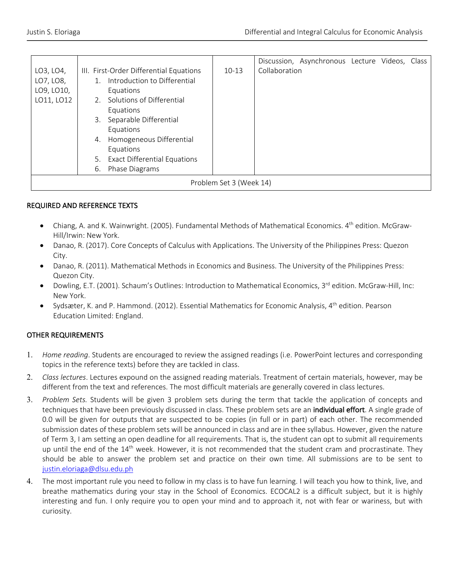|            |                                           |         | Discussion, Asynchronous Lecture Videos, Class |
|------------|-------------------------------------------|---------|------------------------------------------------|
| LO3, LO4,  | III. First-Order Differential Equations   | $10-13$ | Collaboration                                  |
| LO7, LO8,  | Introduction to Differential              |         |                                                |
| LO9, LO10, | Equations                                 |         |                                                |
| LO11, LO12 | 2. Solutions of Differential              |         |                                                |
|            | Equations                                 |         |                                                |
|            | Separable Differential<br>3.              |         |                                                |
|            | Equations                                 |         |                                                |
|            | Homogeneous Differential<br>4.            |         |                                                |
|            | Equations                                 |         |                                                |
|            | <b>Exact Differential Equations</b><br>5. |         |                                                |
|            | Phase Diagrams<br>6.                      |         |                                                |
|            | Problem Set 3 (Week 14)                   |         |                                                |

# REQUIRED AND REFERENCE TEXTS

- Chiang, A. and K. Wainwright. (2005). Fundamental Methods of Mathematical Economics. 4<sup>th</sup> edition. McGraw-Hill/Irwin: New York.
- Danao, R. (2017). Core Concepts of Calculus with Applications. The University of the Philippines Press: Quezon City.
- Danao, R. (2011). Mathematical Methods in Economics and Business. The University of the Philippines Press: Quezon City.
- Dowling, E.T. (2001). Schaum's Outlines: Introduction to Mathematical Economics, 3rd edition. McGraw-Hill, Inc: New York.
- Sydsæter, K. and P. Hammond. (2012). Essential Mathematics for Economic Analysis, 4<sup>th</sup> edition. Pearson Education Limited: England.

# OTHER REQUIREMENTS

- 1. *Home reading*. Students are encouraged to review the assigned readings (i.e. PowerPoint lectures and corresponding topics in the reference texts) before they are tackled in class.
- 2. *Class lectures*. Lectures expound on the assigned reading materials. Treatment of certain materials, however, may be different from the text and references. The most difficult materials are generally covered in class lectures.
- 3. *Problem Sets.* Students will be given 3 problem sets during the term that tackle the application of concepts and techniques that have been previously discussed in class. These problem sets are an individual effort. A single grade of 0.0 will be given for outputs that are suspected to be copies (in full or in part) of each other. The recommended submission dates of these problem sets will be announced in class and are in thee syllabus. However, given the nature of Term 3, I am setting an open deadline for all requirements. That is, the student can opt to submit all requirements up until the end of the  $14<sup>th</sup>$  week. However, it is not recommended that the student cram and procrastinate. They should be able to answer the problem set and practice on their own time. All submissions are to be sent to justin.eloriaga@dlsu.edu.ph
- 4. The most important rule you need to follow in my class is to have fun learning. I will teach you how to think, live, and breathe mathematics during your stay in the School of Economics. ECOCAL2 is a difficult subject, but it is highly interesting and fun. I only require you to open your mind and to approach it, not with fear or wariness, but with curiosity.